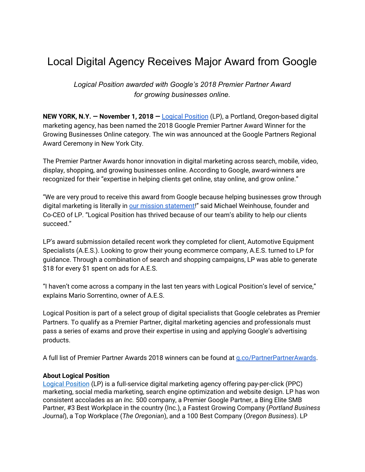## Local Digital Agency Receives Major Award from Google

*Logical Position awarded with Google's 2018 Premier Partner Award for growing businesses online.*

**NEW YORK, N.Y. — November 1, 2018 —** Logical [Position](http://www.logicalposition.com/) (LP), a Portland, Oregon-based digital marketing agency, has been named the 2018 Google Premier Partner Award Winner for the Growing Businesses Online category. The win was announced at the Google Partners Regional Award Ceremony in New York City.

The Premier Partner Awards honor innovation in digital marketing across search, mobile, video, display, shopping, and growing businesses online. According to Google, award-winners are recognized for their "expertise in helping clients get online, stay online, and grow online."

"We are very proud to receive this award from Google because helping businesses grow through digital marketing is literally in our mission [statement!](https://www.logicalposition.com/mission-values)" said Michael Weinhouse, founder and Co-CEO of LP. "Logical Position has thrived because of our team's ability to help our clients succeed."

LP's award submission detailed recent work they completed for client, Automotive Equipment Specialists (A.E.S.). Looking to grow their young ecommerce company, A.E.S. turned to LP for guidance. Through a combination of search and shopping campaigns, LP was able to generate \$18 for every \$1 spent on ads for A.E.S.

"I haven't come across a company in the last ten years with Logical Position's level of service," explains Mario Sorrentino, owner of A.E.S.

Logical Position is part of a select group of digital specialists that Google celebrates as Premier Partners. To qualify as a Premier Partner, digital marketing agencies and professionals must pass a series of exams and prove their expertise in using and applying Google's advertising products.

A full list of Premier Partner Awards 2018 winners can be found at [g.co/PartnerPartnerAwards](http://g.co/premierpartnerawards).

## **About Logical Position**

Logical [Position](http://www.logicalposition.com/) (LP) is a full-service digital marketing agency offering pay-per-click (PPC) marketing, social media marketing, search engine optimization and website design. LP has won consistent accolades as an *Inc.* 500 company, a Premier Google Partner, a Bing Elite SMB Partner, #3 Best Workplace in the country (Inc.), a Fastest Growing Company (*Portland Business Journal*), a Top Workplace (*The Oregonian*), and a 100 Best Company (*Oregon Business*). LP